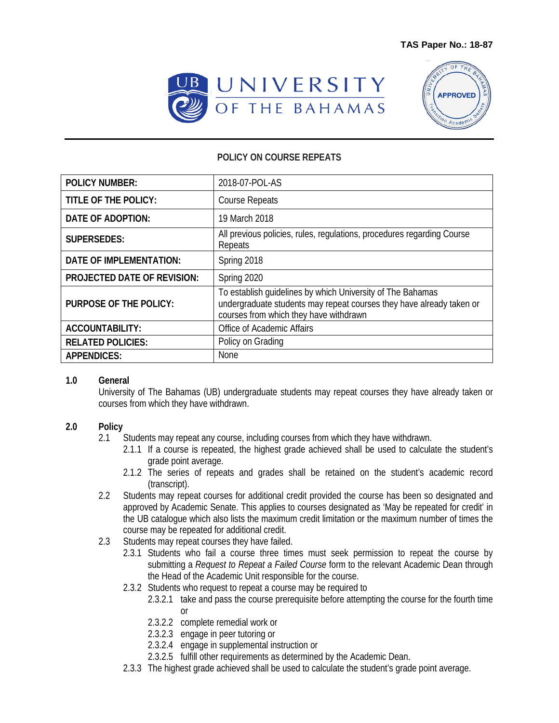



## **POLICY ON COURSE REPEATS**

| <b>POLICY NUMBER:</b>              | 2018-07-POL-AS                                                                                                                                                               |
|------------------------------------|------------------------------------------------------------------------------------------------------------------------------------------------------------------------------|
| TITLE OF THE POLICY:               | <b>Course Repeats</b>                                                                                                                                                        |
| DATE OF ADOPTION:                  | 19 March 2018                                                                                                                                                                |
| <b>SUPERSEDES:</b>                 | All previous policies, rules, regulations, procedures regarding Course<br>Repeats                                                                                            |
| <b>DATE OF IMPLEMENTATION:</b>     | Spring 2018                                                                                                                                                                  |
| <b>PROJECTED DATE OF REVISION:</b> | Spring 2020                                                                                                                                                                  |
| <b>PURPOSE OF THE POLICY:</b>      | To establish guidelines by which University of The Bahamas<br>undergraduate students may repeat courses they have already taken or<br>courses from which they have withdrawn |
| <b>ACCOUNTABILITY:</b>             | Office of Academic Affairs                                                                                                                                                   |
| <b>RELATED POLICIES:</b>           | Policy on Grading                                                                                                                                                            |
| <b>APPENDICES:</b>                 | <b>None</b>                                                                                                                                                                  |

## **1.0 General**

University of The Bahamas (UB) undergraduate students may repeat courses they have already taken or courses from which they have withdrawn.

## **2.0 Policy**

- 2.1 Students may repeat any course, including courses from which they have withdrawn.
	- 2.1.1 If a course is repeated, the highest grade achieved shall be used to calculate the student's grade point average.
	- 2.1.2 The series of repeats and grades shall be retained on the student's academic record (transcript).
- 2.2 Students may repeat courses for additional credit provided the course has been so designated and approved by Academic Senate. This applies to courses designated as 'May be repeated for credit' in the UB catalogue which also lists the maximum credit limitation or the maximum number of times the course may be repeated for additional credit.
- 2.3 Students may repeat courses they have failed.
	- 2.3.1 Students who fail a course three times must seek permission to repeat the course by submitting a *Request to Repeat a Failed Course* form to the relevant Academic Dean through the Head of the Academic Unit responsible for the course.
	- 2.3.2 Students who request to repeat a course may be required to
		- 2.3.2.1 take and pass the course prerequisite before attempting the course for the fourth time or
		- 2.3.2.2 complete remedial work or
		- 2.3.2.3 engage in peer tutoring or
		- 2.3.2.4 engage in supplemental instruction or
		- 2.3.2.5 fulfill other requirements as determined by the Academic Dean.
	- 2.3.3 The highest grade achieved shall be used to calculate the student's grade point average.